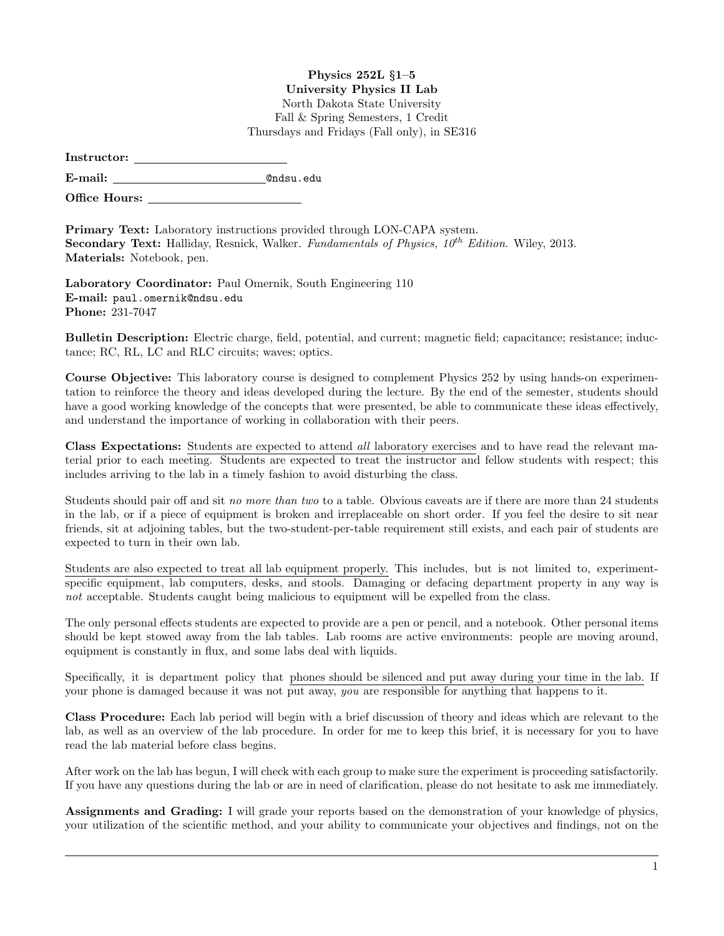## Physics 252L §1–5 University Physics II Lab

North Dakota State University Fall & Spring Semesters, 1 Credit

Thursdays and Fridays (Fall only), in SE316

| Instructor: |  |
|-------------|--|
|             |  |

E-mail: @ndsu.edu

Office Hours:

Primary Text: Laboratory instructions provided through LON-CAPA system. **Secondary Text:** Halliday, Resnick, Walker. Fundamentals of Physics,  $10^{th}$  Edition. Wiley, 2013. Materials: Notebook, pen.

Laboratory Coordinator: Paul Omernik, South Engineering 110 E-mail: paul.omernik@ndsu.edu Phone: 231-7047

Bulletin Description: Electric charge, field, potential, and current; magnetic field; capacitance; resistance; inductance; RC, RL, LC and RLC circuits; waves; optics.

Course Objective: This laboratory course is designed to complement Physics 252 by using hands-on experimentation to reinforce the theory and ideas developed during the lecture. By the end of the semester, students should have a good working knowledge of the concepts that were presented, be able to communicate these ideas effectively, and understand the importance of working in collaboration with their peers.

Class Expectations: Students are expected to attend all laboratory exercises and to have read the relevant material prior to each meeting. Students are expected to treat the instructor and fellow students with respect; this includes arriving to the lab in a timely fashion to avoid disturbing the class.

Students should pair off and sit no more than two to a table. Obvious caveats are if there are more than 24 students in the lab, or if a piece of equipment is broken and irreplaceable on short order. If you feel the desire to sit near friends, sit at adjoining tables, but the two-student-per-table requirement still exists, and each pair of students are expected to turn in their own lab.

Students are also expected to treat all lab equipment properly. This includes, but is not limited to, experimentspecific equipment, lab computers, desks, and stools. Damaging or defacing department property in any way is not acceptable. Students caught being malicious to equipment will be expelled from the class.

The only personal effects students are expected to provide are a pen or pencil, and a notebook. Other personal items should be kept stowed away from the lab tables. Lab rooms are active environments: people are moving around, equipment is constantly in flux, and some labs deal with liquids.

Specifically, it is department policy that phones should be silenced and put away during your time in the lab. If your phone is damaged because it was not put away, you are responsible for anything that happens to it.

Class Procedure: Each lab period will begin with a brief discussion of theory and ideas which are relevant to the lab, as well as an overview of the lab procedure. In order for me to keep this brief, it is necessary for you to have read the lab material before class begins.

After work on the lab has begun, I will check with each group to make sure the experiment is proceeding satisfactorily. If you have any questions during the lab or are in need of clarification, please do not hesitate to ask me immediately.

Assignments and Grading: I will grade your reports based on the demonstration of your knowledge of physics, your utilization of the scientific method, and your ability to communicate your objectives and findings, not on the